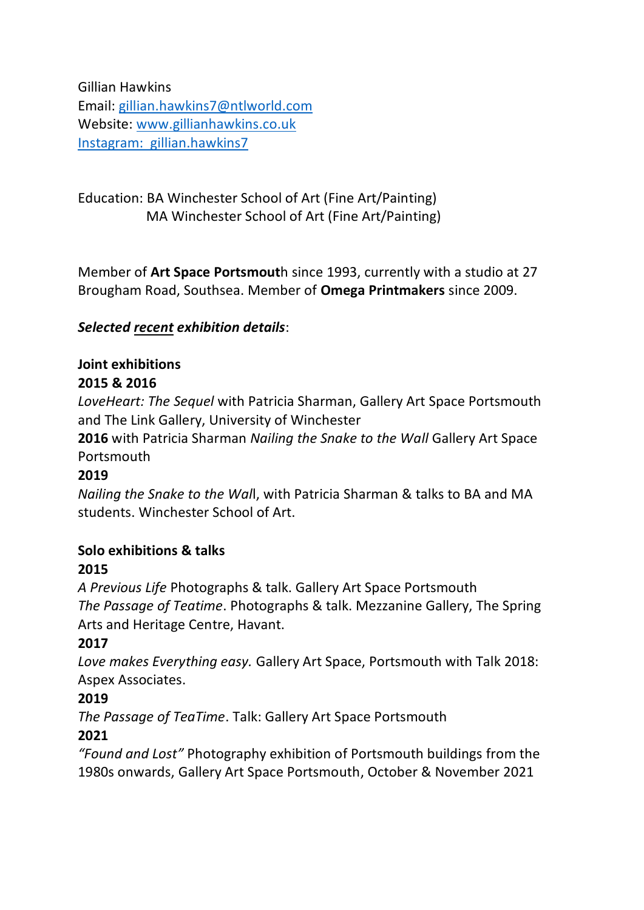Gillian Hawkins Email: [gillian.hawkins7@ntlworld.com](mailto:gillian.hawkins7@ntlworld.com) Website: [www.gillianhawkins.co.uk](http://www.gillianhawkins.co.uk/) Instagram: gillian.hawkins7

Education: BA Winchester School of Art (Fine Art/Painting) MA Winchester School of Art (Fine Art/Painting)

Member of **Art Space Portsmout**h since 1993, currently with a studio at 27 Brougham Road, Southsea. Member of **Omega Printmakers** since 2009.

### *Selected recent exhibition details*:

#### **Joint exhibitions 2015 & 2016**

*LoveHeart: The Sequel* with Patricia Sharman, Gallery Art Space Portsmouth and The Link Gallery, University of Winchester

**2016** with Patricia Sharman *Nailing the Snake to the Wall* Gallery Art Space Portsmouth

#### **2019**

*Nailing the Snake to the Wal*l, with Patricia Sharman & talks to BA and MA students. Winchester School of Art.

## **Solo exhibitions & talks**

#### **2015**

*A Previous Life* Photographs & talk. Gallery Art Space Portsmouth *The Passage of Teatime*. Photographs & talk. Mezzanine Gallery, The Spring Arts and Heritage Centre, Havant.

#### **2017**

*Love makes Everything easy.* Gallery Art Space, Portsmouth with Talk 2018: Aspex Associates.

## **2019**

*The Passage of TeaTime*. Talk: Gallery Art Space Portsmouth

## **2021**

*"Found and Lost"* Photography exhibition of Portsmouth buildings from the 1980s onwards, Gallery Art Space Portsmouth, October & November 2021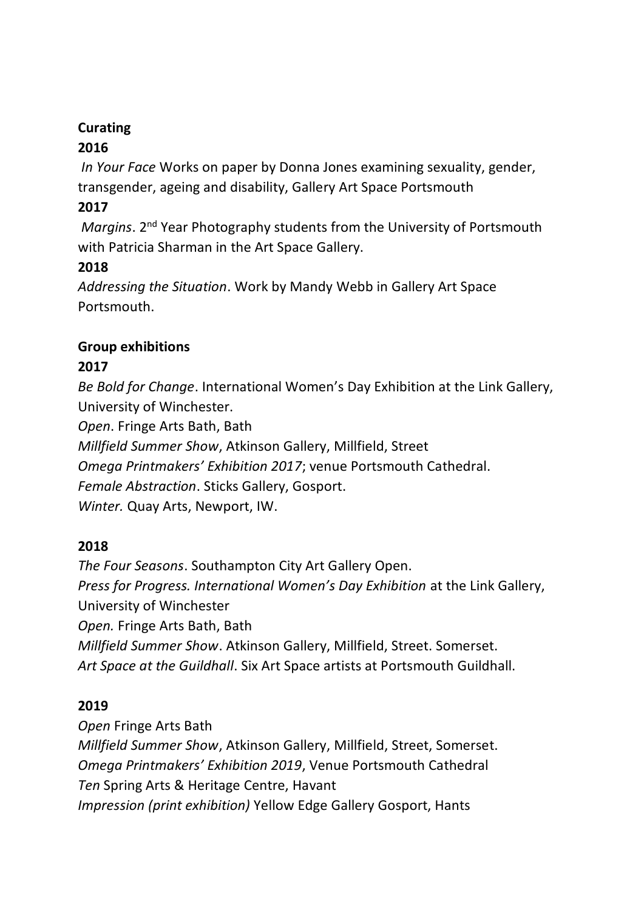# **Curating**

## **2016**

*In Your Face* Works on paper by Donna Jones examining sexuality, gender, transgender, ageing and disability, Gallery Art Space Portsmouth

## **2017**

*Margins*. 2<sup>nd</sup> Year Photography students from the University of Portsmouth with Patricia Sharman in the Art Space Gallery.

## **2018**

*Addressing the Situation*. Work by Mandy Webb in Gallery Art Space Portsmouth.

### **Group exhibitions**

## **2017**

*Be Bold for Change*. International Women's Day Exhibition at the Link Gallery, University of Winchester.

*Open*. Fringe Arts Bath, Bath

*Millfield Summer Show*, Atkinson Gallery, Millfield, Street

*Omega Printmakers' Exhibition 2017*; venue Portsmouth Cathedral.

*Female Abstraction*. Sticks Gallery, Gosport.

*Winter.* Quay Arts, Newport, IW.

#### **2018**

*The Four Seasons*. Southampton City Art Gallery Open. *Press for Progress. International Women's Day Exhibition* at the Link Gallery, University of Winchester *Open.* Fringe Arts Bath, Bath *Millfield Summer Show*. Atkinson Gallery, Millfield, Street. Somerset. *Art Space at the Guildhall*. Six Art Space artists at Portsmouth Guildhall.

#### **2019**

*Open* Fringe Arts Bath

*Millfield Summer Show*, Atkinson Gallery, Millfield, Street, Somerset. *Omega Printmakers' Exhibition 2019*, Venue Portsmouth Cathedral *Ten* Spring Arts & Heritage Centre, Havant *Impression (print exhibition)* Yellow Edge Gallery Gosport, Hants